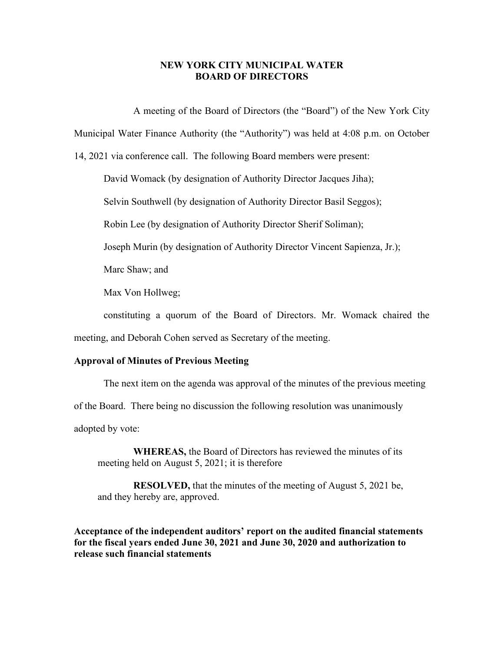# **NEW YORK CITY MUNICIPAL WATER BOARD OF DIRECTORS**

A meeting of the Board of Directors (the "Board") of the New York City

Municipal Water Finance Authority (the "Authority") was held at 4:08 p.m. on October

14, 2021 via conference call. The following Board members were present:

David Womack (by designation of Authority Director Jacques Jiha);

Selvin Southwell (by designation of Authority Director Basil Seggos);

Robin Lee (by designation of Authority Director Sherif Soliman);

Joseph Murin (by designation of Authority Director Vincent Sapienza, Jr.);

Marc Shaw; and

Max Von Hollweg;

constituting a quorum of the Board of Directors. Mr. Womack chaired the meeting, and Deborah Cohen served as Secretary of the meeting.

## **Approval of Minutes of Previous Meeting**

The next item on the agenda was approval of the minutes of the previous meeting

of the Board. There being no discussion the following resolution was unanimously

adopted by vote:

**WHEREAS,** the Board of Directors has reviewed the minutes of its meeting held on August 5, 2021; it is therefore

**RESOLVED,** that the minutes of the meeting of August 5, 2021 be, and they hereby are, approved.

**Acceptance of the independent auditors' report on the audited financial statements for the fiscal years ended June 30, 2021 and June 30, 2020 and authorization to release such financial statements**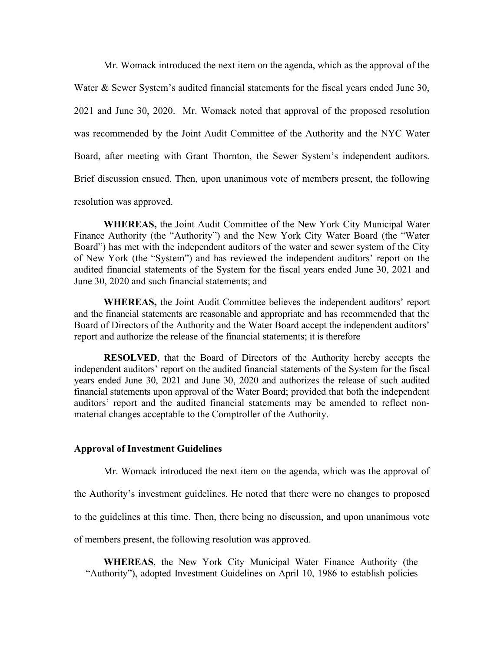Mr. Womack introduced the next item on the agenda, which as the approval of the Water & Sewer System's audited financial statements for the fiscal years ended June 30, 2021 and June 30, 2020. Mr. Womack noted that approval of the proposed resolution was recommended by the Joint Audit Committee of the Authority and the NYC Water Board, after meeting with Grant Thornton, the Sewer System's independent auditors. Brief discussion ensued. Then, upon unanimous vote of members present, the following resolution was approved.

**WHEREAS,** the Joint Audit Committee of the New York City Municipal Water Finance Authority (the "Authority") and the New York City Water Board (the "Water Board") has met with the independent auditors of the water and sewer system of the City of New York (the "System") and has reviewed the independent auditors' report on the audited financial statements of the System for the fiscal years ended June 30, 2021 and June 30, 2020 and such financial statements; and

**WHEREAS,** the Joint Audit Committee believes the independent auditors' report and the financial statements are reasonable and appropriate and has recommended that the Board of Directors of the Authority and the Water Board accept the independent auditors' report and authorize the release of the financial statements; it is therefore

**RESOLVED**, that the Board of Directors of the Authority hereby accepts the independent auditors' report on the audited financial statements of the System for the fiscal years ended June 30, 2021 and June 30, 2020 and authorizes the release of such audited financial statements upon approval of the Water Board; provided that both the independent auditors' report and the audited financial statements may be amended to reflect nonmaterial changes acceptable to the Comptroller of the Authority.

#### **Approval of Investment Guidelines**

Mr. Womack introduced the next item on the agenda, which was the approval of

the Authority's investment guidelines. He noted that there were no changes to proposed

to the guidelines at this time. Then, there being no discussion, and upon unanimous vote

of members present, the following resolution was approved.

**WHEREAS**, the New York City Municipal Water Finance Authority (the "Authority"), adopted Investment Guidelines on April 10, 1986 to establish policies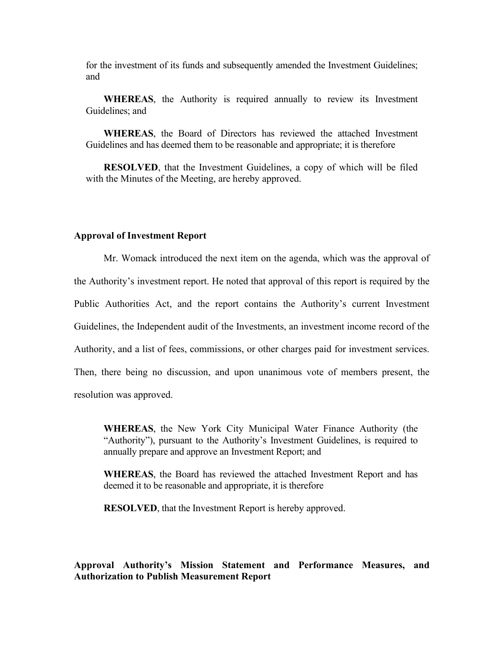for the investment of its funds and subsequently amended the Investment Guidelines; and

**WHEREAS**, the Authority is required annually to review its Investment Guidelines; and

**WHEREAS**, the Board of Directors has reviewed the attached Investment Guidelines and has deemed them to be reasonable and appropriate; it is therefore

**RESOLVED**, that the Investment Guidelines, a copy of which will be filed with the Minutes of the Meeting, are hereby approved.

#### **Approval of Investment Report**

Mr. Womack introduced the next item on the agenda, which was the approval of the Authority's investment report. He noted that approval of this report is required by the Public Authorities Act, and the report contains the Authority's current Investment Guidelines, the Independent audit of the Investments, an investment income record of the Authority, and a list of fees, commissions, or other charges paid for investment services. Then, there being no discussion, and upon unanimous vote of members present, the resolution was approved.

**WHEREAS**, the New York City Municipal Water Finance Authority (the "Authority"), pursuant to the Authority's Investment Guidelines, is required to annually prepare and approve an Investment Report; and

**WHEREAS**, the Board has reviewed the attached Investment Report and has deemed it to be reasonable and appropriate, it is therefore

**RESOLVED**, that the Investment Report is hereby approved.

# **Approval Authority's Mission Statement and Performance Measures, and Authorization to Publish Measurement Report**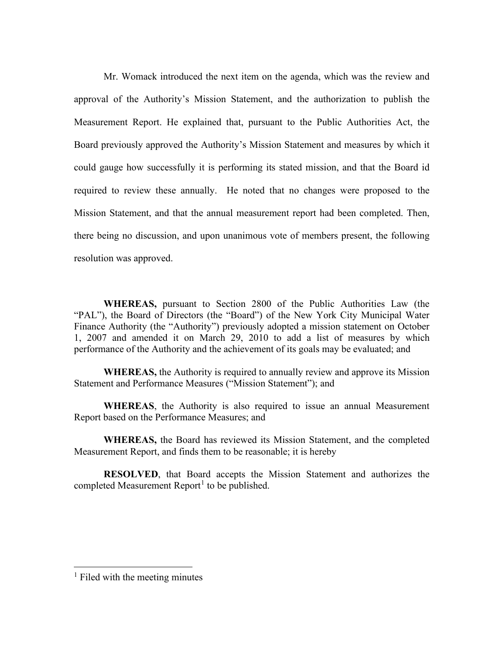Mr. Womack introduced the next item on the agenda, which was the review and approval of the Authority's Mission Statement, and the authorization to publish the Measurement Report. He explained that, pursuant to the Public Authorities Act, the Board previously approved the Authority's Mission Statement and measures by which it could gauge how successfully it is performing its stated mission, and that the Board id required to review these annually. He noted that no changes were proposed to the Mission Statement, and that the annual measurement report had been completed. Then, there being no discussion, and upon unanimous vote of members present, the following resolution was approved.

**WHEREAS,** pursuant to Section 2800 of the Public Authorities Law (the "PAL"), the Board of Directors (the "Board") of the New York City Municipal Water Finance Authority (the "Authority") previously adopted a mission statement on October 1, 2007 and amended it on March 29, 2010 to add a list of measures by which performance of the Authority and the achievement of its goals may be evaluated; and

**WHEREAS,** the Authority is required to annually review and approve its Mission Statement and Performance Measures ("Mission Statement"); and

**WHEREAS**, the Authority is also required to issue an annual Measurement Report based on the Performance Measures; and

**WHEREAS,** the Board has reviewed its Mission Statement, and the completed Measurement Report, and finds them to be reasonable; it is hereby

**RESOLVED**, that Board accepts the Mission Statement and authorizes the completed Measurement Report<sup>[1](#page-3-0)</sup> to be published.

<span id="page-3-0"></span> $<sup>1</sup>$  Filed with the meeting minutes</sup>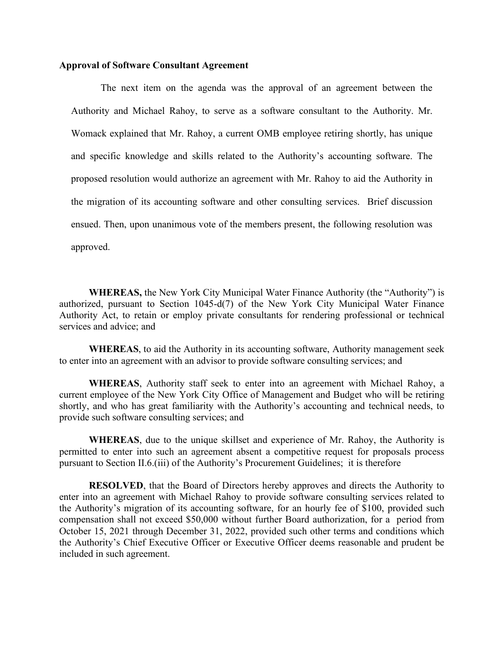## **Approval of Software Consultant Agreement**

The next item on the agenda was the approval of an agreement between the Authority and Michael Rahoy, to serve as a software consultant to the Authority. Mr. Womack explained that Mr. Rahoy, a current OMB employee retiring shortly, has unique and specific knowledge and skills related to the Authority's accounting software. The proposed resolution would authorize an agreement with Mr. Rahoy to aid the Authority in the migration of its accounting software and other consulting services. Brief discussion ensued. Then, upon unanimous vote of the members present, the following resolution was approved.

**WHEREAS,** the New York City Municipal Water Finance Authority (the "Authority") is authorized, pursuant to Section 1045-d(7) of the New York City Municipal Water Finance Authority Act, to retain or employ private consultants for rendering professional or technical services and advice; and

**WHEREAS**, to aid the Authority in its accounting software, Authority management seek to enter into an agreement with an advisor to provide software consulting services; and

**WHEREAS**, Authority staff seek to enter into an agreement with Michael Rahoy, a current employee of the New York City Office of Management and Budget who will be retiring shortly, and who has great familiarity with the Authority's accounting and technical needs, to provide such software consulting services; and

**WHEREAS**, due to the unique skillset and experience of Mr. Rahoy, the Authority is permitted to enter into such an agreement absent a competitive request for proposals process pursuant to Section II.6.(iii) of the Authority's Procurement Guidelines; it is therefore

**RESOLVED**, that the Board of Directors hereby approves and directs the Authority to enter into an agreement with Michael Rahoy to provide software consulting services related to the Authority's migration of its accounting software, for an hourly fee of \$100, provided such compensation shall not exceed \$50,000 without further Board authorization, for a period from October 15, 2021 through December 31, 2022, provided such other terms and conditions which the Authority's Chief Executive Officer or Executive Officer deems reasonable and prudent be included in such agreement.